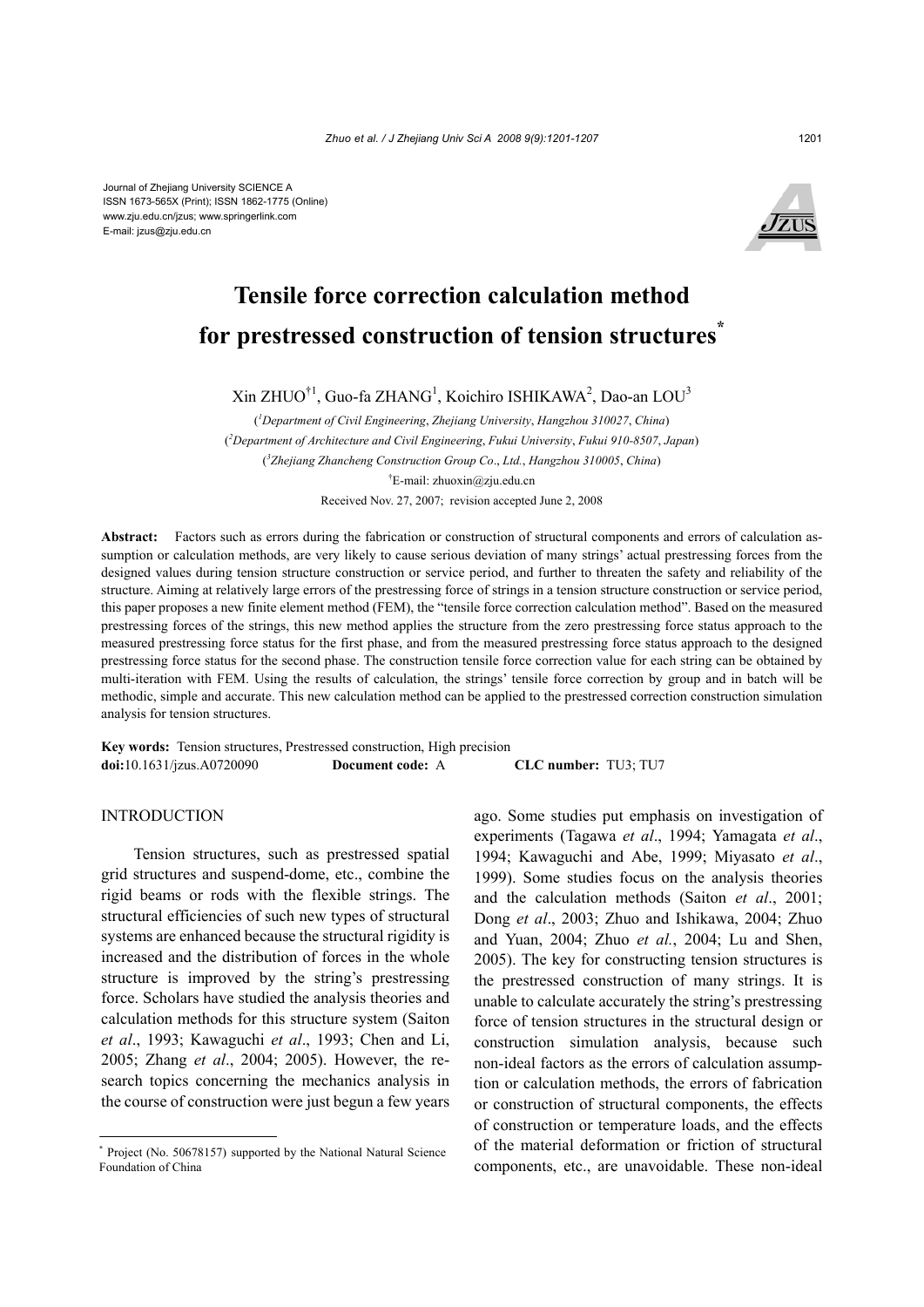

# **Tensile force correction calculation method for prestressed construction of tension structures\***

 $X$ in ZHUO<sup>†1</sup>, Guo-fa ZHANG<sup>1</sup>, Koichiro ISHIKAWA<sup>2</sup>, Dao-an LOU<sup>3</sup>

( *1 Department of Civil Engineering*, *Zhejiang University*, *Hangzhou 310027*, *China*) ( *2 Department of Architecture and Civil Engineering*, *Fukui University*, *Fukui 910-8507*, *Japan*) ( *3 Zhejiang Zhancheng Construction Group Co*., *Ltd.*, *Hangzhou 310005*, *China*) † E-mail: zhuoxin@zju.edu.cn Received Nov. 27, 2007; revision accepted June 2, 2008

**Abstract:** Factors such as errors during the fabrication or construction of structural components and errors of calculation assumption or calculation methods, are very likely to cause serious deviation of many strings' actual prestressing forces from the designed values during tension structure construction or service period, and further to threaten the safety and reliability of the structure. Aiming at relatively large errors of the prestressing force of strings in a tension structure construction or service period, this paper proposes a new finite element method (FEM), the "tensile force correction calculation method". Based on the measured prestressing forces of the strings, this new method applies the structure from the zero prestressing force status approach to the measured prestressing force status for the first phase, and from the measured prestressing force status approach to the designed prestressing force status for the second phase. The construction tensile force correction value for each string can be obtained by multi-iteration with FEM. Using the results of calculation, the strings' tensile force correction by group and in batch will be methodic, simple and accurate. This new calculation method can be applied to the prestressed correction construction simulation analysis for tension structures.

**Key words:** Tension structures, Prestressed construction, High precision **doi:**10.1631/jzus.A0720090 **Document code:** A **CLC number:** TU3; TU7

## INTRODUCTION

Tension structures, such as prestressed spatial grid structures and suspend-dome, etc., combine the rigid beams or rods with the flexible strings. The structural efficiencies of such new types of structural systems are enhanced because the structural rigidity is increased and the distribution of forces in the whole structure is improved by the string's prestressing force. Scholars have studied the analysis theories and calculation methods for this structure system (Saiton *et al*., 1993; Kawaguchi *et al*., 1993; Chen and Li, 2005; Zhang *et al*., 2004; 2005). However, the research topics concerning the mechanics analysis in the course of construction were just begun a few years ago. Some studies put emphasis on investigation of experiments (Tagawa *et al*., 1994; Yamagata *et al*., 1994; Kawaguchi and Abe, 1999; Miyasato *et al*., 1999). Some studies focus on the analysis theories and the calculation methods (Saiton *et al*., 2001; Dong *et al*., 2003; Zhuo and Ishikawa, 2004; Zhuo and Yuan, 2004; Zhuo *et al.*, 2004; Lu and Shen, 2005). The key for constructing tension structures is the prestressed construction of many strings. It is unable to calculate accurately the string's prestressing force of tension structures in the structural design or construction simulation analysis, because such non-ideal factors as the errors of calculation assumption or calculation methods, the errors of fabrication or construction of structural components, the effects of construction or temperature loads, and the effects of the material deformation or friction of structural components, etc., are unavoidable. These non-ideal

<sup>\*</sup> Project (No. 50678157) supported by the National Natural Science Foundation of China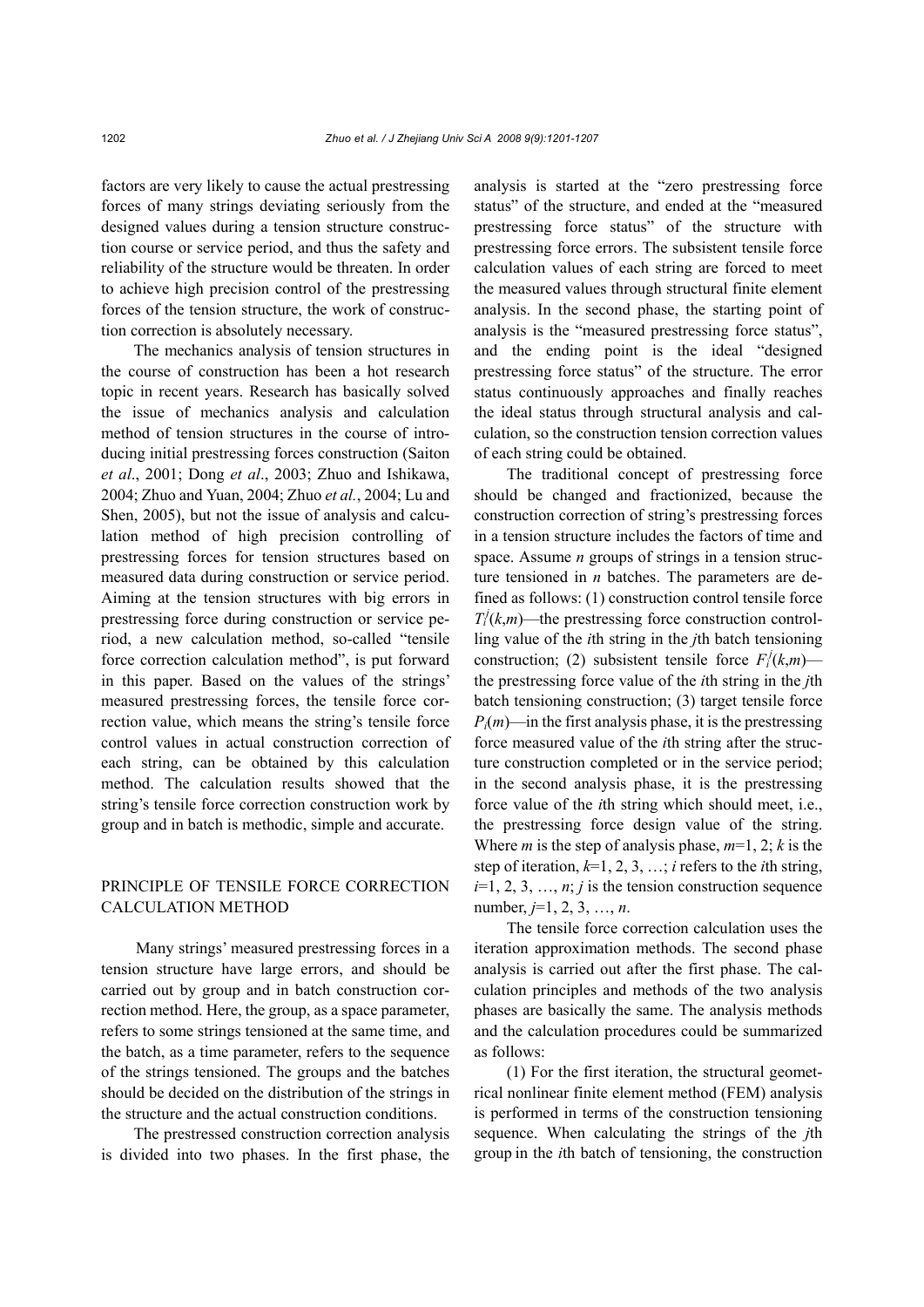factors are very likely to cause the actual prestressing forces of many strings deviating seriously from the designed values during a tension structure construction course or service period, and thus the safety and reliability of the structure would be threaten. In order to achieve high precision control of the prestressing forces of the tension structure, the work of construction correction is absolutely necessary.

The mechanics analysis of tension structures in the course of construction has been a hot research topic in recent years. Research has basically solved the issue of mechanics analysis and calculation method of tension structures in the course of introducing initial prestressing forces construction (Saiton *et al*., 2001; Dong *et al*., 2003; Zhuo and Ishikawa, 2004; Zhuo and Yuan, 2004; Zhuo *et al.*, 2004; Lu and Shen, 2005), but not the issue of analysis and calculation method of high precision controlling of prestressing forces for tension structures based on measured data during construction or service period. Aiming at the tension structures with big errors in prestressing force during construction or service period, a new calculation method, so-called "tensile force correction calculation method", is put forward in this paper. Based on the values of the strings' measured prestressing forces, the tensile force correction value, which means the string's tensile force control values in actual construction correction of each string, can be obtained by this calculation method. The calculation results showed that the string's tensile force correction construction work by group and in batch is methodic, simple and accurate.

# PRINCIPLE OF TENSILE FORCE CORRECTION CALCULATION METHOD

Many strings' measured prestressing forces in a tension structure have large errors, and should be carried out by group and in batch construction correction method. Here, the group, as a space parameter, refers to some strings tensioned at the same time, and the batch, as a time parameter, refers to the sequence of the strings tensioned. The groups and the batches should be decided on the distribution of the strings in the structure and the actual construction conditions.

The prestressed construction correction analysis is divided into two phases. In the first phase, the analysis is started at the "zero prestressing force status" of the structure, and ended at the "measured prestressing force status" of the structure with prestressing force errors. The subsistent tensile force calculation values of each string are forced to meet the measured values through structural finite element analysis. In the second phase, the starting point of analysis is the "measured prestressing force status", and the ending point is the ideal "designed prestressing force status" of the structure. The error status continuously approaches and finally reaches the ideal status through structural analysis and calculation, so the construction tension correction values of each string could be obtained.

The traditional concept of prestressing force should be changed and fractionized, because the construction correction of string's prestressing forces in a tension structure includes the factors of time and space. Assume *n* groups of strings in a tension structure tensioned in *n* batches. The parameters are defined as follows: (1) construction control tensile force  $T_i^j(k,m)$ —the prestressing force construction controlling value of the *i*th string in the *j*th batch tensioning construction; (2) subsistent tensile force  $F_i^j(k,m)$  the prestressing force value of the *i*th string in the *j*th batch tensioning construction; (3) target tensile force  $P_i(m)$ —in the first analysis phase, it is the prestressing force measured value of the *i*th string after the structure construction completed or in the service period; in the second analysis phase, it is the prestressing force value of the *i*th string which should meet, i.e., the prestressing force design value of the string. Where *m* is the step of analysis phase,  $m=1, 2$ ; *k* is the step of iteration, *k*=1, 2, 3, …; *i* refers to the *i*th string,  $i=1, 2, 3, \ldots, n; j$  is the tension construction sequence number, *j*=1, 2, 3, …, *n*.

The tensile force correction calculation uses the iteration approximation methods. The second phase analysis is carried out after the first phase. The calculation principles and methods of the two analysis phases are basically the same. The analysis methods and the calculation procedures could be summarized as follows:

(1) For the first iteration, the structural geometrical nonlinear finite element method (FEM) analysis is performed in terms of the construction tensioning sequence. When calculating the strings of the *j*th group in the *i*th batch of tensioning, the construction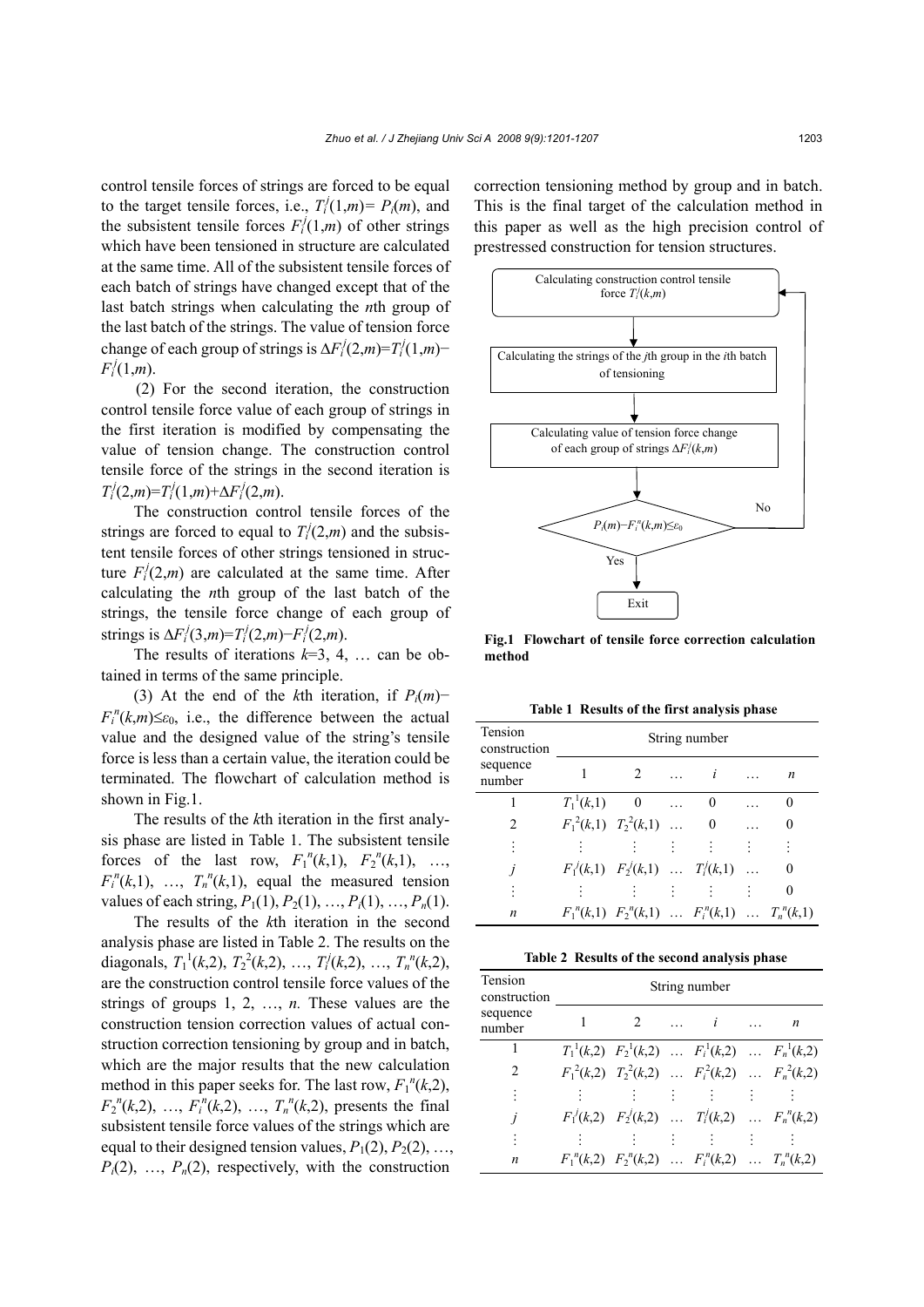control tensile forces of strings are forced to be equal to the target tensile forces, i.e.,  $T_i^j(1,m) = P_i(m)$ , and the subsistent tensile forces  $F_i^j(1,m)$  of other strings which have been tensioned in structure are calculated at the same time. All of the subsistent tensile forces of each batch of strings have changed except that of the last batch strings when calculating the *n*th group of the last batch of the strings. The value of tension force change of each group of strings is  $\Delta F_i^j(2,m) = T_i^j(1,m)$  $F_i^j(1,m)$ .

(2) For the second iteration, the construction control tensile force value of each group of strings in the first iteration is modified by compensating the value of tension change. The construction control tensile force of the strings in the second iteration is  $T_i^j(2,m)=T_i^j(1,m)+\Delta F_i^j(2,m)$ .

The construction control tensile forces of the strings are forced to equal to  $T_i^j(2,m)$  and the subsistent tensile forces of other strings tensioned in structure  $F_i^j(2,m)$  are calculated at the same time. After calculating the *n*th group of the last batch of the strings, the tensile force change of each group of strings is  $\Delta F_i^j(3,m) = T_i^j(2,m) - F_i^j(2,m)$ .

The results of iterations  $k=3, 4, \ldots$  can be obtained in terms of the same principle.

(3) At the end of the *k*th iteration, if  $P_i(m)$ −  $F_i^n(k,m) \leq \varepsilon_0$ , i.e., the difference between the actual value and the designed value of the string's tensile force is less than a certain value, the iteration could be terminated. The flowchart of calculation method is shown in Fig.1.

The results of the *k*th iteration in the first analysis phase are listed in Table 1. The subsistent tensile forces of the last row,  $F_1^{n}(k,1)$ ,  $F_2^{n}(k,1)$ , ...,  $F_i^n(k,1)$ , ...,  $T_n^n(k,1)$ , equal the measured tension values of each string,  $P_1(1), P_2(1), ..., P_i(1), ..., P_n(1)$ .

The results of the *k*th iteration in the second analysis phase are listed in Table 2. The results on the diagonals,  $T_1^1(k,2)$ ,  $T_2^2(k,2)$ , ...,  $T_i^j(k,2)$ , ...,  $T_n^j(k,2)$ , are the construction control tensile force values of the strings of groups 1, 2, …, *n.* These values are the construction tension correction values of actual construction correction tensioning by group and in batch, which are the major results that the new calculation method in this paper seeks for. The last row,  $F_1^{\ n}(k,2)$ ,  $F_2^{\ n}(k,2), \ \ldots, \ F_i^{\ n}(k,2), \ \ldots, \ T_n^{\ n}(k,2), \ \text{presents the final}$ subsistent tensile force values of the strings which are equal to their designed tension values,  $P_1(2), P_2(2), \ldots$ ,  $P_i(2)$ , ...,  $P_n(2)$ , respectively, with the construction

correction tensioning method by group and in batch. This is the final target of the calculation method in this paper as well as the high precision control of prestressed construction for tension structures.



**Fig.1 Flowchart of tensile force correction calculation method**

**Table 1 Results of the first analysis phase**

| Tension<br>construction |                   |                                                     | String number    |   |
|-------------------------|-------------------|-----------------------------------------------------|------------------|---|
| sequence<br>number      |                   | $2^{\circ}$                                         | $\boldsymbol{i}$ | n |
|                         | $T_1^{-1}(k,1)$ 0 |                                                     |                  |   |
| 2                       |                   | $F_1^2(k,1)$ $T_2^2(k,1)$                           |                  |   |
|                         |                   | 그는 아이를 하고 있다.                                       |                  |   |
|                         |                   | $F_1^j(k,1)$ $F_2^j(k,1)$ $T_i^j(k,1)$              |                  |   |
|                         |                   |                                                     | しまい しっぽうしん まいしん  |   |
| n                       |                   | $F_1^n(k,1)$ $F_2^n(k,1)$ $F_i^n(k,1)$ $T_n^n(k,1)$ |                  |   |

|  |  |  |  | Table 2 Results of the second analysis phase |  |
|--|--|--|--|----------------------------------------------|--|
|--|--|--|--|----------------------------------------------|--|

| Tension<br>construction |                                                         | String number                                             |                                                     |
|-------------------------|---------------------------------------------------------|-----------------------------------------------------------|-----------------------------------------------------|
| sequence<br>number      |                                                         |                                                           | n                                                   |
|                         |                                                         |                                                           | $T_1^1(k,2)$ $F_2^1(k,2)$ $F_i^1(k,2)$ $F_n^1(k,2)$ |
| 2                       | $F_1^2(k,2)$ $T_2^2(k,2)$ $F_i^2(k,2)$ $F_n^2(k,2)$     |                                                           |                                                     |
|                         |                                                         | 电子电子 医心脏 医心脏 医心脏                                          |                                                     |
|                         | $F_1^j(k,2)$ $F_2^j(k,2)$ $T_i^j(k,2)$ $F_n^{\,n}(k,2)$ |                                                           |                                                     |
|                         |                                                         | $\mathcal{L}(\mathcal{L})$ and $\mathcal{L}(\mathcal{L})$ |                                                     |
| n                       | $F_1^n(k,2)$ $F_2^n(k,2)$ $F_i^n(k,2)$ $T_n^n(k,2)$     |                                                           |                                                     |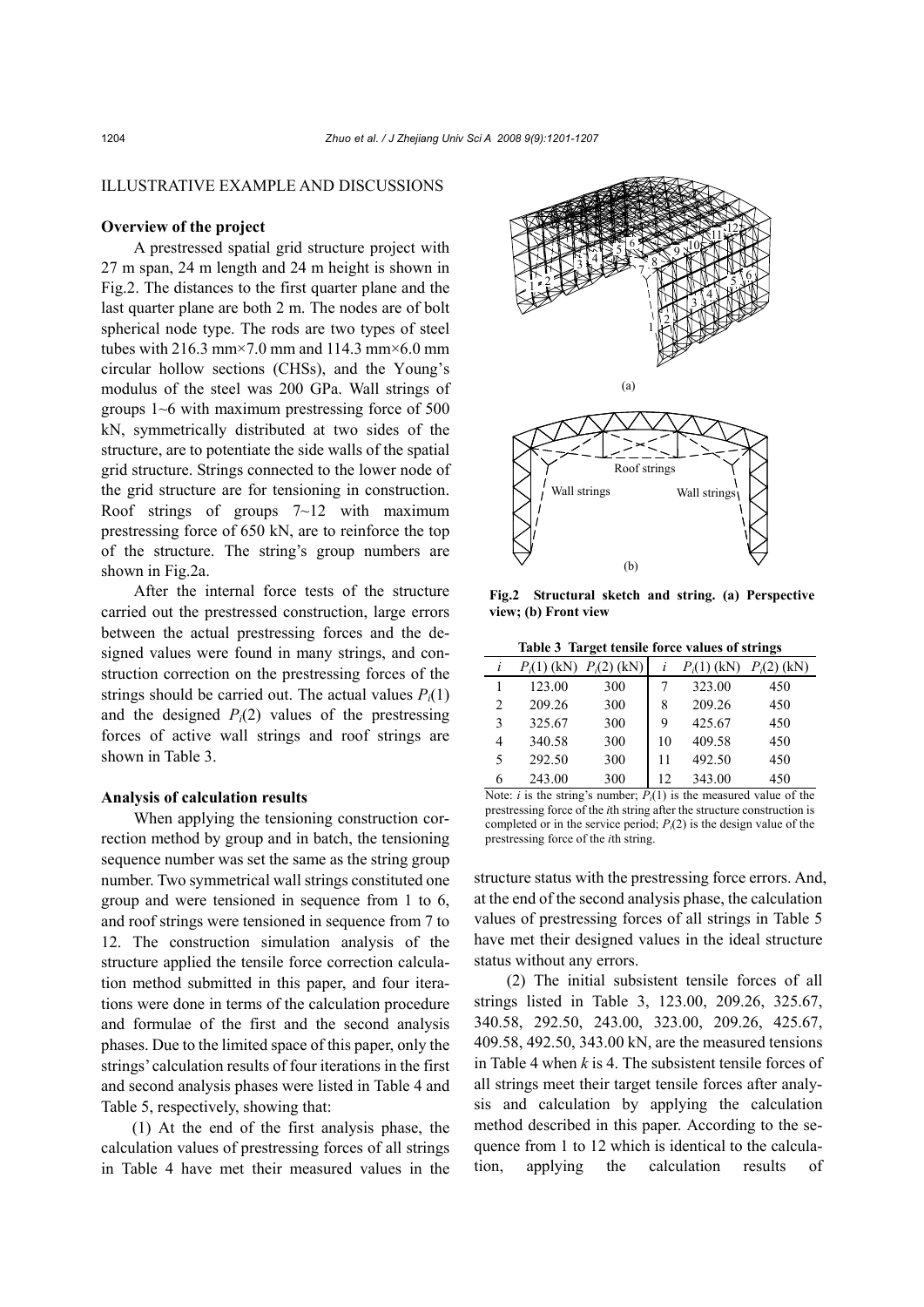## ILLUSTRATIVE EXAMPLE AND DISCUSSIONS

# **Overview of the project**

A prestressed spatial grid structure project with 27 m span, 24 m length and 24 m height is shown in Fig.2. The distances to the first quarter plane and the last quarter plane are both 2 m. The nodes are of bolt spherical node type. The rods are two types of steel tubes with 216.3 mm $\times$ 7.0 mm and 114.3 mm $\times$ 6.0 mm circular hollow sections (CHSs), and the Young's modulus of the steel was 200 GPa. Wall strings of groups 1~6 with maximum prestressing force of 500 kN, symmetrically distributed at two sides of the structure, are to potentiate the side walls of the spatial grid structure. Strings connected to the lower node of the grid structure are for tensioning in construction. Roof strings of groups 7~12 with maximum prestressing force of 650 kN, are to reinforce the top of the structure. The string's group numbers are shown in Fig.2a.

After the internal force tests of the structure carried out the prestressed construction, large errors between the actual prestressing forces and the designed values were found in many strings, and construction correction on the prestressing forces of the strings should be carried out. The actual values  $P_i(1)$ and the designed  $P_i(2)$  values of the prestressing forces of active wall strings and roof strings are shown in Table 3.

#### **Analysis of calculation results**

When applying the tensioning construction correction method by group and in batch, the tensioning sequence number was set the same as the string group number. Two symmetrical wall strings constituted one group and were tensioned in sequence from 1 to 6, and roof strings were tensioned in sequence from 7 to 12. The construction simulation analysis of the structure applied the tensile force correction calculation method submitted in this paper, and four iterations were done in terms of the calculation procedure and formulae of the first and the second analysis phases. Due to the limited space of this paper, only the strings' calculation results of four iterations in the first and second analysis phases were listed in Table 4 and Table 5, respectively, showing that:

(1) At the end of the first analysis phase, the calculation values of prestressing forces of all strings in Table 4 have met their measured values in the



**Fig.2 Structural sketch and string. (a) Perspective view; (b) Front view** 

| Table 3 Target tensile force values of strings |  |  |  |  |  |  |
|------------------------------------------------|--|--|--|--|--|--|
|------------------------------------------------|--|--|--|--|--|--|

| i              | $P_i(1)$ (kN) | $P_i(2)$ (kN) |    | $P_i(1)$ (kN) | (kN) |
|----------------|---------------|---------------|----|---------------|------|
|                | 123.00        | 300           | 7  | 323.00        | 450  |
| $\overline{c}$ | 209.26        | 300           | 8  | 209.26        | 450  |
| 3              | 325.67        | 300           | 9  | 425.67        | 450  |
| 4              | 340.58        | 300           | 10 | 409.58        | 450  |
| 5              | 292.50        | 300           | 11 | 492.50        | 450  |
| 6              | 243.00        | 300           | 12 | 343.00        | 450  |

Note: *i* is the string's number;  $P_i(1)$  is the measured value of the prestressing force of the *i*th string after the structure construction is completed or in the service period; *Pi*(2) is the design value of the prestressing force of the *i*th string.

structure status with the prestressing force errors. And, at the end of the second analysis phase, the calculation values of prestressing forces of all strings in Table 5 have met their designed values in the ideal structure status without any errors.

(2) The initial subsistent tensile forces of all strings listed in Table 3, 123.00, 209.26, 325.67, 340.58, 292.50, 243.00, 323.00, 209.26, 425.67, 409.58, 492.50, 343.00 kN, are the measured tensions in Table 4 when *k* is 4. The subsistent tensile forces of all strings meet their target tensile forces after analysis and calculation by applying the calculation method described in this paper. According to the sequence from 1 to 12 which is identical to the calculation, applying the calculation results of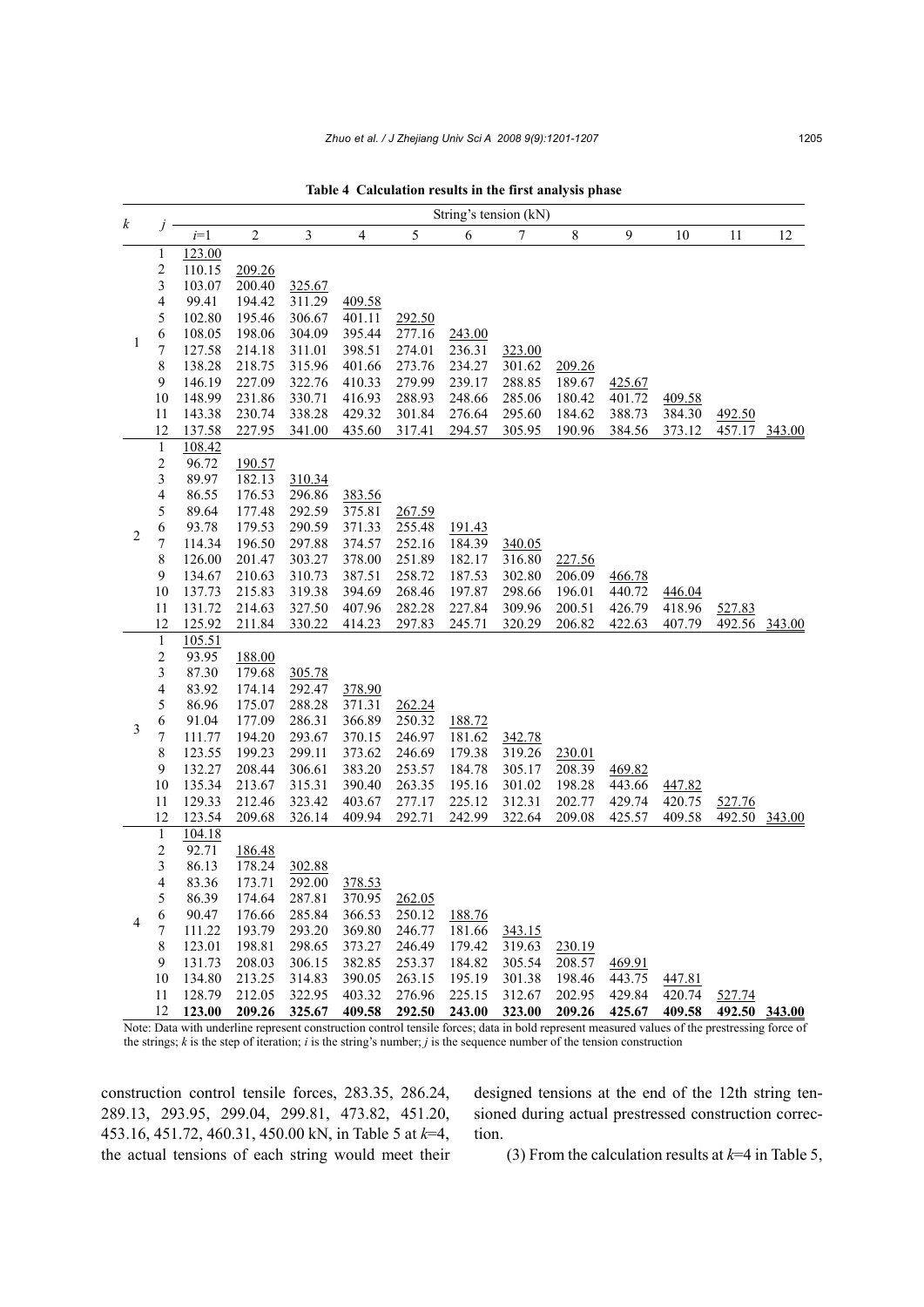**Table 4 Calculation results in the first analysis phase** 

|                  | String's tension (kN) |                  |                  |                  |                  |                  |                  |                  |             |        |        |        |               |
|------------------|-----------------------|------------------|------------------|------------------|------------------|------------------|------------------|------------------|-------------|--------|--------|--------|---------------|
| $\boldsymbol{k}$ | $J$ .                 | $i=1$            | $\sqrt{2}$       | $\mathfrak{Z}$   | $\overline{4}$   | $\sqrt{5}$       | 6                | 7                | $\,$ 8 $\,$ | 9      | 10     | 11     | 12            |
|                  | 1                     | 123.00           |                  |                  |                  |                  |                  |                  |             |        |        |        |               |
|                  | $\sqrt{2}$            | 110.15           | 209.26           |                  |                  |                  |                  |                  |             |        |        |        |               |
|                  | 3                     | 103.07           | 200.40           | 325.67           |                  |                  |                  |                  |             |        |        |        |               |
|                  | $\overline{4}$        | 99.41            | 194.42           | 311.29           | 409.58           |                  |                  |                  |             |        |        |        |               |
|                  | 5                     | 102.80           | 195.46           | 306.67           | 401.11           | 292.50           |                  |                  |             |        |        |        |               |
| $\mathbf{1}$     | 6                     | 108.05           | 198.06           | 304.09           | 395.44           | 277.16           | 243.00           |                  |             |        |        |        |               |
|                  | 7                     | 127.58           | 214.18           | 311.01           | 398.51           | 274.01           | 236.31           | 323.00           |             |        |        |        |               |
|                  | 8                     | 138.28           | 218.75           | 315.96           | 401.66           | 273.76           | 234.27           | 301.62           | 209.26      |        |        |        |               |
|                  | 9                     | 146.19           | 227.09           | 322.76           | 410.33           | 279.99           | 239.17           | 288.85           | 189.67      | 425.67 |        |        |               |
|                  | 10                    | 148.99           | 231.86           | 330.71           | 416.93           | 288.93           | 248.66           | 285.06           | 180.42      | 401.72 | 409.58 |        |               |
|                  | 11                    | 143.38           | 230.74           | 338.28           | 429.32           | 301.84           | 276.64           | 295.60           | 184.62      | 388.73 | 384.30 | 492.50 |               |
|                  | 12                    | 137.58           | 227.95           | 341.00           | 435.60           | 317.41           | 294.57           | 305.95           | 190.96      | 384.56 | 373.12 |        | 457.17 343.00 |
|                  | $1\,$                 | 108.42           |                  |                  |                  |                  |                  |                  |             |        |        |        |               |
|                  | $\sqrt{2}$            | 96.72            | 190.57           |                  |                  |                  |                  |                  |             |        |        |        |               |
|                  | 3                     | 89.97            | 182.13           | 310.34           |                  |                  |                  |                  |             |        |        |        |               |
|                  | $\overline{4}$        | 86.55            | 176.53           | 296.86           | 383.56           |                  |                  |                  |             |        |        |        |               |
|                  | $\sqrt{5}$            | 89.64            | 177.48           | 292.59           | 375.81           | 267.59           |                  |                  |             |        |        |        |               |
| 2                | 6                     | 93.78            | 179.53           | 290.59           | 371.33           | 255.48           | 191.43           |                  |             |        |        |        |               |
|                  | 7                     | 114.34           | 196.50           | 297.88           | 374.57           | 252.16           | 184.39           | 340.05           |             |        |        |        |               |
|                  | 8                     | 126.00           | 201.47           | 303.27           | 378.00           | 251.89           | 182.17           | 316.80           | 227.56      |        |        |        |               |
|                  | 9                     | 134.67           | 210.63           | 310.73           | 387.51           | 258.72           | 187.53           | 302.80           | 206.09      | 466.78 |        |        |               |
|                  | 10                    | 137.73           | 215.83           | 319.38           | 394.69           | 268.46           | 197.87           | 298.66           | 196.01      | 440.72 | 446.04 |        |               |
|                  | 11                    | 131.72           | 214.63           | 327.50           | 407.96           | 282.28           | 227.84           | 309.96           | 200.51      | 426.79 | 418.96 | 527.83 |               |
|                  | 12                    | 125.92           | 211.84           | 330.22           | 414.23           | 297.83           | 245.71           | 320.29           | 206.82      | 422.63 | 407.79 |        | 492.56 343.00 |
|                  | $\mathbf{1}$          | 105.51           |                  |                  |                  |                  |                  |                  |             |        |        |        |               |
|                  | $\sqrt{2}$            | 93.95            | 188.00           |                  |                  |                  |                  |                  |             |        |        |        |               |
|                  | $\mathfrak{Z}$        | 87.30            | 179.68           | 305.78           |                  |                  |                  |                  |             |        |        |        |               |
|                  | $\overline{4}$        | 83.92            | 174.14           | 292.47           | 378.90           |                  |                  |                  |             |        |        |        |               |
|                  | $\sqrt{5}$            | 86.96            | 175.07           | 288.28           | 371.31           | 262.24           |                  |                  |             |        |        |        |               |
| $\mathfrak{Z}$   | 6                     | 91.04            | 177.09           | 286.31           | 366.89           | 250.32           | 188.72           |                  |             |        |        |        |               |
|                  | 7<br>8                | 111.77<br>123.55 | 194.20<br>199.23 | 293.67<br>299.11 | 370.15<br>373.62 | 246.97<br>246.69 | 181.62<br>179.38 | 342.78<br>319.26 | 230.01      |        |        |        |               |
|                  | 9                     | 132.27           | 208.44           | 306.61           | 383.20           | 253.57           | 184.78           | 305.17           | 208.39      | 469.82 |        |        |               |
|                  | 10                    | 135.34           | 213.67           | 315.31           | 390.40           | 263.35           | 195.16           | 301.02           | 198.28      | 443.66 | 447.82 |        |               |
|                  | 11                    | 129.33           | 212.46           | 323.42           | 403.67           | 277.17           | 225.12           | 312.31           | 202.77      | 429.74 | 420.75 | 527.76 |               |
|                  | 12                    | 123.54           | 209.68           | 326.14           | 409.94           | 292.71           | 242.99           | 322.64           | 209.08      | 425.57 | 409.58 |        | 492.50 343.00 |
|                  | $\mathbf{1}$          | 104.18           |                  |                  |                  |                  |                  |                  |             |        |        |        |               |
|                  | $\overline{2}$        | 92.71            | 186.48           |                  |                  |                  |                  |                  |             |        |        |        |               |
|                  | $\mathfrak{Z}$        | 86.13            | 178.24           | 302.88           |                  |                  |                  |                  |             |        |        |        |               |
|                  | $\overline{4}$        | 83.36            | 173.71           | 292.00           | 378.53           |                  |                  |                  |             |        |        |        |               |
|                  | 5                     | 86.39            |                  | 174.64 287.81    | 370.95           | 262.05           |                  |                  |             |        |        |        |               |
|                  | 6                     | 90.47            | 176.66           | 285.84           | 366.53           | 250.12           | 188.76           |                  |             |        |        |        |               |
| 4                | 7                     | 111.22           | 193.79           | 293.20           | 369.80           | 246.77           | 181.66           | 343.15           |             |        |        |        |               |
|                  | 8                     | 123.01           | 198.81           | 298.65           | 373.27           | 246.49           | 179.42           | 319.63           | 230.19      |        |        |        |               |
|                  | 9                     | 131.73           | 208.03           | 306.15           | 382.85           | 253.37           | 184.82           | 305.54           | 208.57      | 469.91 |        |        |               |
|                  | 10                    | 134.80           | 213.25           | 314.83           | 390.05           | 263.15           | 195.19           | 301.38           | 198.46      | 443.75 | 447.81 |        |               |
|                  | 11                    | 128.79           | 212.05           | 322.95           | 403.32           | 276.96           | 225.15           | 312.67           | 202.95      | 429.84 | 420.74 | 527.74 |               |
|                  | 12                    | 123.00           | 209.26           | 325.67           | 409.58           | 292.50           | 243.00           | 323.00           | 209.26      | 425.67 | 409.58 |        | 492.50 343.00 |

Note: Data with underline represent construction control tensile forces; data in bold represent measured values of the prestressing force of the strings; *k* is the step of iteration; *i* is the string's number; *j* is the sequence number of the tension construction

construction control tensile forces, 283.35, 286.24, 289.13, 293.95, 299.04, 299.81, 473.82, 451.20, 453.16, 451.72, 460.31, 450.00 kN, in Table 5 at *k*=4, the actual tensions of each string would meet their designed tensions at the end of the 12th string tensioned during actual prestressed construction correction.

(3) From the calculation results at *k*=4 in Table 5,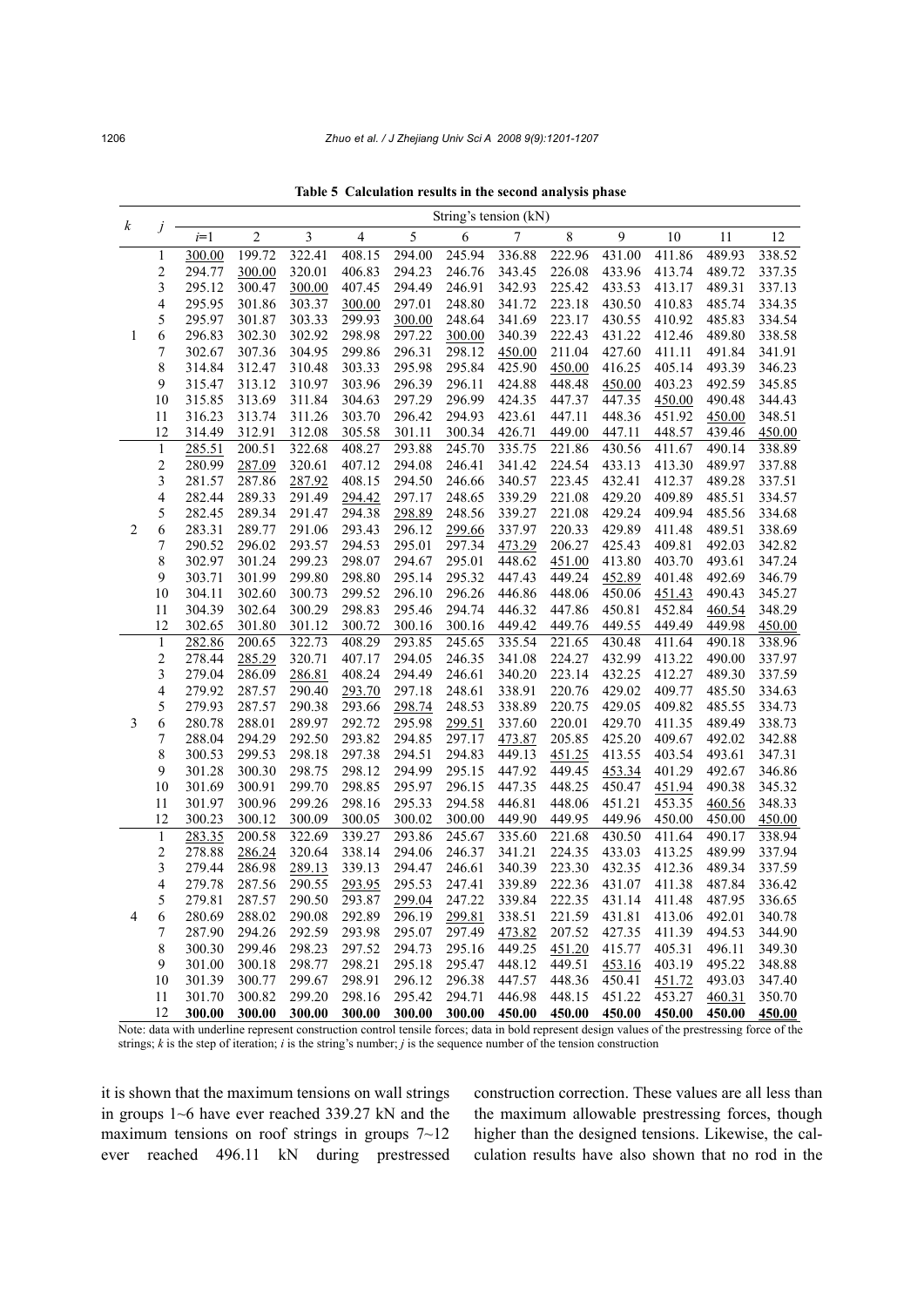**Table 5 Calculation results in the second analysis phase** 

|   |                          | String's tension (kN) |                |                         |                |        |        |                |        |        |        |        |        |
|---|--------------------------|-----------------------|----------------|-------------------------|----------------|--------|--------|----------------|--------|--------|--------|--------|--------|
| k | Ĵ                        | $i=1$                 | $\overline{2}$ | $\overline{\mathbf{3}}$ | $\overline{4}$ | 5      | 6      | $\overline{7}$ | 8      | 9      | $10\,$ | 11     | 12     |
|   | $\mathbf{1}$             | 300.00                | 199.72         | 322.41                  | 408.15         | 294.00 | 245.94 | 336.88         | 222.96 | 431.00 | 411.86 | 489.93 | 338.52 |
|   | $\sqrt{2}$               | 294.77                | 300.00         | 320.01                  | 406.83         | 294.23 | 246.76 | 343.45         | 226.08 | 433.96 | 413.74 | 489.72 | 337.35 |
|   | 3                        | 295.12                | 300.47         | 300.00                  | 407.45         | 294.49 | 246.91 | 342.93         | 225.42 | 433.53 | 413.17 | 489.31 | 337.13 |
|   | $\overline{\mathcal{L}}$ | 295.95                | 301.86         | 303.37                  | 300.00         | 297.01 | 248.80 | 341.72         | 223.18 | 430.50 | 410.83 | 485.74 | 334.35 |
|   | 5                        | 295.97                | 301.87         | 303.33                  | 299.93         | 300.00 | 248.64 | 341.69         | 223.17 | 430.55 | 410.92 | 485.83 | 334.54 |
| 1 | 6                        | 296.83                | 302.30         | 302.92                  | 298.98         | 297.22 | 300.00 | 340.39         | 222.43 | 431.22 | 412.46 | 489.80 | 338.58 |
|   | 7                        | 302.67                | 307.36         | 304.95                  | 299.86         | 296.31 | 298.12 | 450.00         | 211.04 | 427.60 | 411.11 | 491.84 | 341.91 |
|   | 8                        | 314.84                | 312.47         | 310.48                  | 303.33         | 295.98 | 295.84 | 425.90         | 450.00 | 416.25 | 405.14 | 493.39 | 346.23 |
|   | 9                        | 315.47                | 313.12         | 310.97                  | 303.96         | 296.39 | 296.11 | 424.88         | 448.48 | 450.00 | 403.23 | 492.59 | 345.85 |
|   | 10                       | 315.85                | 313.69         | 311.84                  | 304.63         | 297.29 | 296.99 | 424.35         | 447.37 | 447.35 | 450.00 | 490.48 | 344.43 |
|   | 11                       | 316.23                | 313.74         | 311.26                  | 303.70         | 296.42 | 294.93 | 423.61         | 447.11 | 448.36 | 451.92 | 450.00 | 348.51 |
|   | 12                       | 314.49                | 312.91         | 312.08                  | 305.58         | 301.11 | 300.34 | 426.71         | 449.00 | 447.11 | 448.57 | 439.46 | 450.00 |
|   | $\mathbf{1}$             | 285.51                | 200.51         | 322.68                  | 408.27         | 293.88 | 245.70 | 335.75         | 221.86 | 430.56 | 411.67 | 490.14 | 338.89 |
|   | $\boldsymbol{2}$         | 280.99                | 287.09         | 320.61                  | 407.12         | 294.08 | 246.41 | 341.42         | 224.54 | 433.13 | 413.30 | 489.97 | 337.88 |
|   | 3                        | 281.57                | 287.86         | 287.92                  | 408.15         | 294.50 | 246.66 | 340.57         | 223.45 | 432.41 | 412.37 | 489.28 | 337.51 |
|   | 4                        | 282.44                | 289.33         | 291.49                  | 294.42         | 297.17 | 248.65 | 339.29         | 221.08 | 429.20 | 409.89 | 485.51 | 334.57 |
|   | 5                        | 282.45                | 289.34         | 291.47                  | 294.38         | 298.89 | 248.56 | 339.27         | 221.08 | 429.24 | 409.94 | 485.56 | 334.68 |
| 2 | 6                        | 283.31                | 289.77         | 291.06                  | 293.43         | 296.12 | 299.66 | 337.97         | 220.33 | 429.89 | 411.48 | 489.51 | 338.69 |
|   | 7                        | 290.52                | 296.02         | 293.57                  | 294.53         | 295.01 | 297.34 | 473.29         | 206.27 | 425.43 | 409.81 | 492.03 | 342.82 |
|   | $\,$ $\,$                | 302.97                | 301.24         | 299.23                  | 298.07         | 294.67 | 295.01 | 448.62         | 451.00 | 413.80 | 403.70 | 493.61 | 347.24 |
|   | 9                        | 303.71                | 301.99         | 299.80                  | 298.80         | 295.14 | 295.32 | 447.43         | 449.24 | 452.89 | 401.48 | 492.69 | 346.79 |
|   | 10                       | 304.11                | 302.60         | 300.73                  | 299.52         | 296.10 | 296.26 | 446.86         | 448.06 | 450.06 | 451.43 | 490.43 | 345.27 |
|   | 11                       | 304.39                | 302.64         | 300.29                  | 298.83         | 295.46 | 294.74 | 446.32         | 447.86 | 450.81 | 452.84 | 460.54 | 348.29 |
|   | 12                       | 302.65                | 301.80         | 301.12                  | 300.72         | 300.16 | 300.16 | 449.42         | 449.76 | 449.55 | 449.49 | 449.98 | 450.00 |
|   | 1                        | 282.86                | 200.65         | 322.73                  | 408.29         | 293.85 | 245.65 | 335.54         | 221.65 | 430.48 | 411.64 | 490.18 | 338.96 |
|   | $\sqrt{2}$               | 278.44                | 285.29         | 320.71                  | 407.17         | 294.05 | 246.35 | 341.08         | 224.27 | 432.99 | 413.22 | 490.00 | 337.97 |
|   | 3                        | 279.04                | 286.09         | 286.81                  | 408.24         | 294.49 | 246.61 | 340.20         | 223.14 | 432.25 | 412.27 | 489.30 | 337.59 |
|   | $\overline{\mathcal{L}}$ | 279.92                | 287.57         | 290.40                  | 293.70         | 297.18 | 248.61 | 338.91         | 220.76 | 429.02 | 409.77 | 485.50 | 334.63 |
|   | 5                        | 279.93                | 287.57         | 290.38                  | 293.66         | 298.74 | 248.53 | 338.89         | 220.75 | 429.05 | 409.82 | 485.55 | 334.73 |
| 3 | 6                        | 280.78                | 288.01         | 289.97                  | 292.72         | 295.98 | 299.51 | 337.60         | 220.01 | 429.70 | 411.35 | 489.49 | 338.73 |
|   | 7                        | 288.04                | 294.29         | 292.50                  | 293.82         | 294.85 | 297.17 | 473.87         | 205.85 | 425.20 | 409.67 | 492.02 | 342.88 |
|   | 8                        | 300.53                | 299.53         | 298.18                  | 297.38         | 294.51 | 294.83 | 449.13         | 451.25 | 413.55 | 403.54 | 493.61 | 347.31 |
|   | 9                        | 301.28                | 300.30         | 298.75                  | 298.12         | 294.99 | 295.15 | 447.92         | 449.45 | 453.34 | 401.29 | 492.67 | 346.86 |
|   | 10                       | 301.69                | 300.91         | 299.70                  | 298.85         | 295.97 | 296.15 | 447.35         | 448.25 | 450.47 | 451.94 | 490.38 | 345.32 |
|   | 11                       | 301.97                | 300.96         | 299.26                  | 298.16         | 295.33 | 294.58 | 446.81         | 448.06 | 451.21 | 453.35 | 460.56 | 348.33 |
|   | 12                       | 300.23                | 300.12         | 300.09                  | 300.05         | 300.02 | 300.00 | 449.90         | 449.95 | 449.96 | 450.00 | 450.00 | 450.00 |
|   | $\,1\,$                  | 283.35                | 200.58         | 322.69                  | 339.27         | 293.86 | 245.67 | 335.60         | 221.68 | 430.50 | 411.64 | 490.17 | 338.94 |
|   | $\boldsymbol{2}$         | 278.88                | 286.24         | 320.64                  | 338.14         | 294.06 | 246.37 | 341.21         | 224.35 | 433.03 | 413.25 | 489.99 | 337.94 |
|   | 3                        | 279.44                | 286.98         | 289.13                  | 339.13         | 294.47 | 246.61 | 340.39         | 223.30 | 432.35 | 412.36 | 489.34 | 337.59 |
|   | 4                        | 279.78                | 287.56         | 290.55                  | 293.95         | 295.53 | 247.41 | 339.89         | 222.36 | 431.07 | 411.38 | 487.84 | 336.42 |
|   | 5                        | 279.81                | 287.57         | 290.50                  | 293.87         | 299.04 | 247.22 | 339.84         | 222.35 | 431.14 | 411.48 | 487.95 | 336.65 |
| 4 | 6                        | 280.69                | 288.02         | 290.08                  | 292.89         | 296.19 | 299.81 | 338.51         | 221.59 | 431.81 | 413.06 | 492.01 | 340.78 |
|   | 7                        | 287.90                | 294.26         | 292.59                  | 293.98         | 295.07 | 297.49 | 473.82         | 207.52 | 427.35 | 411.39 | 494.53 | 344.90 |
|   | 8                        | 300.30                | 299.46         | 298.23                  | 297.52         | 294.73 | 295.16 | 449.25         | 451.20 | 415.77 | 405.31 | 496.11 | 349.30 |
|   | 9                        | 301.00                | 300.18         | 298.77                  | 298.21         | 295.18 | 295.47 | 448.12         | 449.51 | 453.16 | 403.19 | 495.22 | 348.88 |
|   | 10                       | 301.39                | 300.77         | 299.67                  | 298.91         | 296.12 | 296.38 | 447.57         | 448.36 | 450.41 | 451.72 | 493.03 | 347.40 |
|   | 11                       | 301.70                | 300.82         | 299.20                  | 298.16         | 295.42 | 294.71 | 446.98         | 448.15 | 451.22 | 453.27 | 460.31 | 350.70 |
|   | 12                       | 300.00                | 300.00         | 300.00                  | 300.00         | 300.00 | 300.00 | 450.00         | 450.00 | 450.00 | 450.00 | 450.00 | 450.00 |

Note: data with underline represent construction control tensile forces; data in bold represent design values of the prestressing force of the strings; *k* is the step of iteration; *i* is the string's number; *j* is the sequence number of the tension construction

it is shown that the maximum tensions on wall strings in groups 1~6 have ever reached 339.27 kN and the maximum tensions on roof strings in groups 7~12 ever reached 496.11 kN during prestressed construction correction. These values are all less than the maximum allowable prestressing forces, though higher than the designed tensions. Likewise, the calculation results have also shown that no rod in the